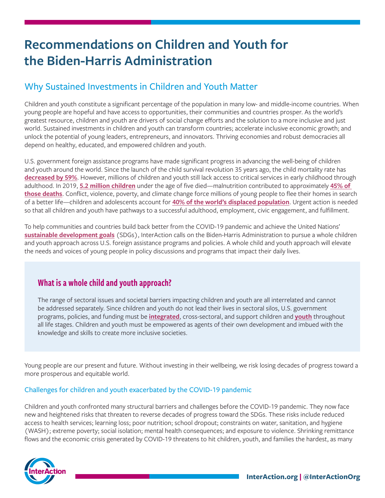# **Recommendations on Children and Youth for the Biden-Harris Administration**

## Why Sustained Investments in Children and Youth Matter

Children and youth constitute a significant percentage of the population in many low- and middle-income countries. When young people are hopeful and have access to opportunities, their communities and countries prosper. As the world's greatest resource, children and youth are drivers of social change efforts and the solution to a more inclusive and just world. Sustained investments in children and youth can transform countries; accelerate inclusive economic growth; and unlock the potential of young leaders, entrepreneurs, and innovators. Thriving economies and robust democracies all depend on healthy, educated, and empowered children and youth.

U.S. government foreign assistance programs have made significant progress in advancing the well-being of children and youth around the world. Since the launch of the child survival revolution 35 years ago, the child mortality rate has **[decreased by 59%](https://data.unicef.org/topic/child-survival/under-five-mortality/#:~:text=Under-five%20mortality%20The%20global%20under-five%20mortality%20rate%20declined,child%20survival%20remains%20a%20matter%20of%20urgent%20concern.)**. However, millions of children and youth still lack access to critical services in early childhood through adulthood. In 2019, **[5.2 million children](https://www.who.int/news-room/fact-sheets/detail/children-reducing-mortality)** under the age of five died—malnutrition contributed to approximately **[45% of](https://www.who.int/news-room/fact-sheets/detail/children-reducing-mortality)  [those deaths](https://www.who.int/news-room/fact-sheets/detail/children-reducing-mortality)**. Conflict, violence, poverty, and climate change force millions of young people to flee their homes in search of a better life—children and adolescents account for **[40% of the world's displaced population](https://www.unhcr.org/globaltrends2019/)**. Urgent action is needed so that all children and youth have pathways to a successful adulthood, employment, civic engagement, and fulfillment.

To help communities and countries build back better from the COVID-19 pandemic and achieve the United Nations' **[sustainable development goals](https://sdgs.un.org/goals)** (SDGs), InterAction calls on the Biden-Harris Administration to pursue a whole children and youth approach across U.S. foreign assistance programs and policies. A whole child and youth approach will elevate the needs and voices of young people in policy discussions and programs that impact their daily lives.

## What is a whole child and youth approach?

The range of sectoral issues and societal barriers impacting children and youth are all interrelated and cannot be addressed separately. Since children and youth do not lead their lives in sectoral silos, U.S. government programs, policies, and funding must be **[integrated](https://www.unicef.org/publications/index_100862.html)**, cross-sectoral, and support children and **[youth](https://www.unicef-irc.org/publications/pdf/adolescent_brain_a_second_window_of_opportunity_a_compendium.pdf)** throughout all life stages. Children and youth must be empowered as agents of their own development and imbued with the knowledge and skills to create more inclusive societies.

Young people are our present and future. Without investing in their wellbeing, we risk losing decades of progress toward a more prosperous and equitable world.

#### Challenges for children and youth exacerbated by the COVID-19 pandemic

Children and youth confronted many structural barriers and challenges before the COVID-19 pandemic. They now face new and heightened risks that threaten to reverse decades of progress toward the SDGs. These risks include reduced access to health services; learning loss; poor nutrition; school dropout; constraints on water, sanitation, and hygiene (WASH); extreme poverty; social isolation; mental health consequences; and exposure to violence. Shrinking remittance flows and the economic crisis generated by COVID-19 threatens to hit children, youth, and families the hardest, as many

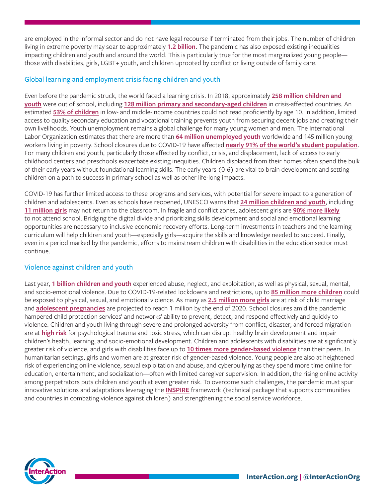are employed in the informal sector and do not have legal recourse if terminated from their jobs. The number of children living in extreme poverty may soar to approximately **[1.2 billion](https://www.unicef.org/press-releases/150-million-additional-children-plunged-poverty-due-covid-19-unicef-save-children)**. The pandemic has also exposed existing inequalities impacting children and youth and around the world. This is particularly true for the most marginalized young people those with disabilities, girls, LGBT+ youth, and children uprooted by conflict or living outside of family care.

#### Global learning and employment crisis facing children and youth

Even before the pandemic struck, the world faced a learning crisis. In 2018, approximately **[258 million children and](https://www.unicef.org/reports/global-annual-results-2019-goal-area-2)  [youth](https://www.unicef.org/reports/global-annual-results-2019-goal-area-2)** were out of school, including **[128 million primary and secondary-aged children](https://www.globalpartnership.org/results/education-data-highlights)** in crisis-affected countries. An estimated **[53% of children](https://www.globalpartnership.org/results/education-data-highlights)** in low- and middle-income countries could not read proficiently by age 10. In addition, limited access to quality secondary education and vocational training prevents youth from securing decent jobs and creating their own livelihoods. Youth unemployment remains a global challenge for many young women and men. The International Labor Organization estimates that there are more than **[64 million unemployed youth](https://www.ilo.org/global/topics/youth-employment/lang--en/index.htm)** worldwide and 145 million young workers living in poverty. School closures due to COVID-19 have affected **[nearly 91% of the world's student population](https://www.unicef.org/coronavirus/keeping-worlds-children-learning-through-covid-19)**. For many children and youth, particularly those affected by conflict, crisis, and displacement, lack of access to early childhood centers and preschools exacerbate existing inequities. Children displaced from their homes often spend the bulk of their early years without foundational learning skills. The early years (0-6) are vital to brain development and setting children on a path to success in primary school as well as other life-long impacts.

COVID-19 has further limited access to these programs and services, with potential for severe impact to a generation of children and adolescents. Even as schools have reopened, UNESCO warns that **[24 million children and youth](https://reliefweb.int/report/world/global-humanitarian-overview-2021-enarfres)**, including **[11 million girls](https://en.unesco.org/covid19/educationresponse/girlseducation)** may not return to the classroom. In fragile and conflict zones, adolescent girls are **[90% more likely](https://reliefweb.int/report/world/global-humanitarian-overview-2021-enarfres)** to not attend school. Bridging the digital divide and prioritizing skills development and social and emotional learning opportunities are necessary to inclusive economic recovery efforts. Long-term investments in teachers and the learning curriculum will help children and youth—especially girls—acquire the skills and knowledge needed to succeed. Finally, even in a period marked by the pandemic, efforts to mainstream children with disabilities in the education sector must continue.

#### Violence against children and youth

Last year, **[1 billion children and youth](https://www.who.int/news-room/fact-sheets/detail/violence-against-children)** experienced abuse, neglect, and exploitation, as well as physical, sexual, mental, and socio-emotional violence. Due to COVID-19-related lockdowns and restrictions, up to **[85 million more children](https://www.who.int/news-room/fact-sheets/detail/violence-against-children)** could be exposed to physical, sexual, and emotional violence. As many as **[2.5 million more girls](https://resourcecentre.savethechildren.net/node/18201/pdf/global_girlhood_report_2020_africa_version_2.pdf)** are at risk of child marriage and **[adolescent pregnancies](https://resourcecentre.savethechildren.net/node/18201/pdf/global_girlhood_report_2020_africa_version_2.pdf)** are projected to reach 1 million by the end of 2020. School closures amid the pandemic hampered child protection services' and networks' ability to prevent, detect, and respond effectively and quickly to violence. Children and youth living through severe and prolonged adversity from conflict, disaster, and forced migration are at **[high risk](https://www.researchgate.net/publication/51565541_Mental_health_of_displaced_and_refugee_children_resettled_in_low-income_and_middle-income_countries_Risk_and_protective_factors)** for psychological trauma and toxic stress, which can disrupt healthy brain development and impair children's health, learning, and socio-emotional development. Children and adolescents with disabilities are at significantly greater risk of violence, and girls with disabilities face up to **[10 times more gender-based violence](https://www.unfpa.org/press/international-day-persons-disabilities)** than their peers. In humanitarian settings, girls and women are at greater risk of gender-based violence. Young people are also at heightened risk of experiencing online violence, sexual exploitation and abuse, and cyberbullying as they spend more time online for education, entertainment, and socialization—often with limited caregiver supervision. In addition, the rising online activity among perpetrators puts children and youth at even greater risk. To overcome such challenges, the pandemic must spur innovative solutions and adaptations leveraging the **[INSPIRE](https://www.who.int/publications/i/item/inspire-seven-strategies-for-ending-violence-against-children)** framework (technical package that supports communities and countries in combating violence against children) and strengthening the social service workforce.

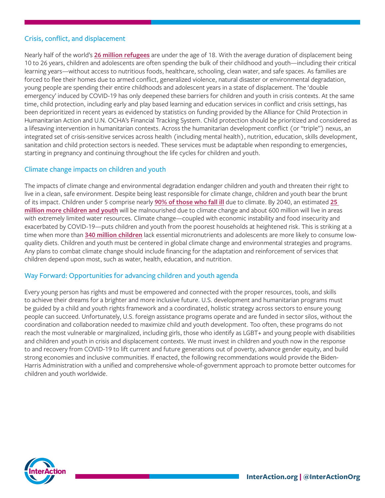#### Crisis, conflict, and displacement

Nearly half of the world's **[26 million refugees](https://www.unhcr.org/en-us/figures-at-a-glance.html)** are under the age of 18. With the average duration of displacement being 10 to 26 years, children and adolescents are often spending the bulk of their childhood and youth—including their critical learning years—without access to nutritious foods, healthcare, schooling, clean water, and safe spaces. As families are forced to flee their homes due to armed conflict, generalized violence, natural disaster or environmental degradation, young people are spending their entire childhoods and adolescent years in a state of displacement. The 'double emergency' induced by COVID-19 has only deepened these barriers for children and youth in crisis contexts. At the same time, child protection, including early and play based learning and education services in conflict and crisis settings, has been deprioritized in recent years as evidenced by statistics on funding provided by the Alliance for Child Protection in Humanitarian Action and U.N. OCHA's Financial Tracking System. Child protection should be prioritized and considered as a lifesaving intervention in humanitarian contexts. Across the humanitarian development conflict (or "triple") nexus, an integrated set of crisis-sensitive services across health (including mental health), nutrition, education, skills development, sanitation and child protection sectors is needed. These services must be adaptable when responding to emergencies, starting in pregnancy and continuing throughout the life cycles for children and youth.

#### Climate change impacts on children and youth

The impacts of climate change and environmental degradation endanger children and youth and threaten their right to live in a clean, safe environment. Despite being least responsible for climate change, children and youth bear the brunt of its impact. Children under 5 comprise nearly **[90% of those who fall ill](https://www.unicefusa.org/mission/climate-change#:~:text=Around%20the%20world%2C%20the%20environmental,mosquitoes%20that%20transmit%20deadly%20diseases.)** due to climate. By 2040, an estimated **[25](https://savinglivesustainably.org/news/115)  [million more children and youth](https://savinglivesustainably.org/news/115)** will be malnourished due to climate change and about 600 million will live in areas with extremely limited water resources. Climate change—coupled with economic instability and food insecurity and exacerbated by COVID-19—puts children and youth from the poorest households at heightened risk. This is striking at a time when more than **[340 million children](https://www.unicef.org/press-releases/poor-diets-damaging-childrens-health-worldwide-warns-unicef)** lack essential micronutrients and adolescents are more likely to consume lowquality diets. Children and youth must be centered in global climate change and environmental strategies and programs. Any plans to combat climate change should include financing for the adaptation and reinforcement of services that children depend upon most, such as water, health, education, and nutrition.

#### Way Forward: Opportunities for advancing children and youth agenda

Every young person has rights and must be empowered and connected with the proper resources, tools, and skills to achieve their dreams for a brighter and more inclusive future. U.S. development and humanitarian programs must be guided by a child and youth rights framework and a coordinated, holistic strategy across sectors to ensure young people can succeed. Unfortunately, U.S. foreign assistance programs operate and are funded in sector silos, without the coordination and collaboration needed to maximize child and youth development. Too often, these programs do not reach the most vulnerable or marginalized, including girls, those who identify as LGBT+ and young people with disabilities and children and youth in crisis and displacement contexts. We must invest in children and youth now in the response to and recovery from COVID-19 to lift current and future generations out of poverty, advance gender equity, and build strong economies and inclusive communities. If enacted, the following recommendations would provide the Biden-Harris Administration with a unified and comprehensive whole-of-government approach to promote better outcomes for children and youth worldwide.

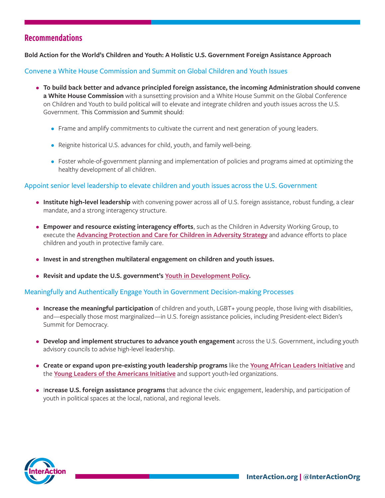## Recommendations

**Bold Action for the World's Children and Youth: A Holistic U.S. Government Foreign Assistance Approach**

Convene a White House Commission and Summit on Global Children and Youth Issues

- **To build back better and advance principled foreign assistance, the incoming Administration should convene a White House Commission** with a sunsetting provision and a White House Summit on the Global Conference on Children and Youth to build political will to elevate and integrate children and youth issues across the U.S. Government. This Commission and Summit should:
	- Frame and amplify commitments to cultivate the current and next generation of young leaders.
	- Reignite historical U.S. advances for child, youth, and family well-being.
	- Foster whole-of-government planning and implementation of policies and programs aimed at optimizing the healthy development of all children.

#### Appoint senior level leadership to elevate children and youth issues across the U.S. Government

- **Institute high-level leadership** with convening power across all of U.S. foreign assistance, robust funding, a clear mandate, and a strong interagency structure.
- **Empower and resource existing interagency efforts**, such as the Children in Adversity Working Group, to execute the **[Advancing Protection and Care for Children in Adversity Strategy](https://www.usaid.gov/documents/1866/advancing-protection-and-care-children-adversity)** and advance efforts to place children and youth in protective family care.
- **Invest in and strengthen multilateral engagement on children and youth issues.**
- **Revisit and update the U.S. government's [Youth in Development Policy](https://www.usaid.gov/policy/youth).**

#### Meaningfully and Authentically Engage Youth in Government Decision-making Processes

- **Increase the meaningful participation** of children and youth, LGBT+ young people, those living with disabilities, and—especially those most marginalized—in U.S. foreign assistance policies, including President-elect Biden's Summit for Democracy.
- **Develop and implement structures to advance youth engagement** across the U.S. Government, including youth advisory councils to advise high-level leadership.
- **Create or expand upon pre-existing youth leadership programs** like the **[Young African Leaders Initiative](https://yali.state.gov/)** and the **[Young Leaders of the Americans Initiative](https://ylai.state.gov/)** and support youth-led organizations.
- I**ncrease U.S. foreign assistance programs** that advance the civic engagement, leadership, and participation of youth in political spaces at the local, national, and regional levels.